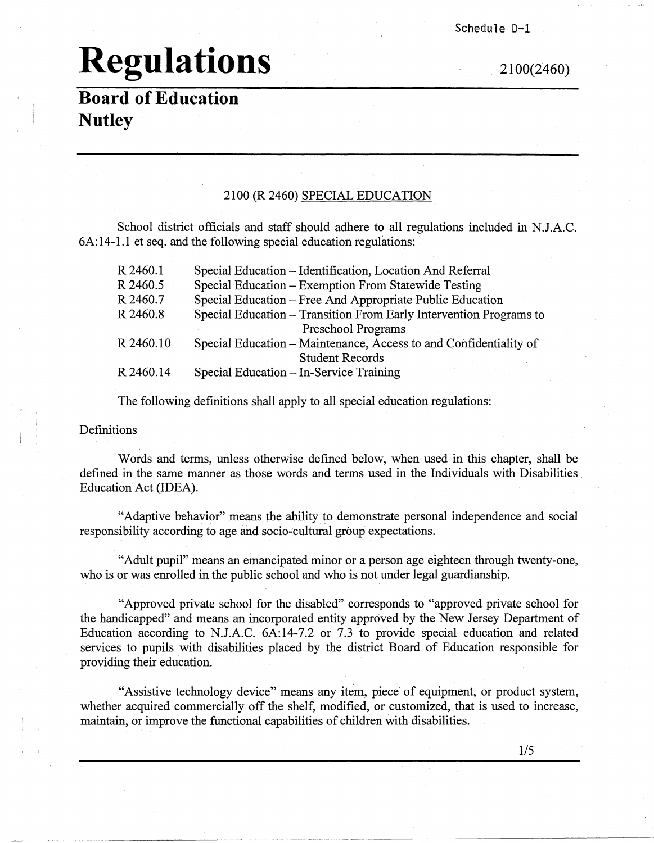Schedule D-1

## **Regulations** 2100(2460)

**Board of Education Nutley** 

#### 2100 (R 2460) SPECIAL EDUCATION

School district officials and staff should adhere to all regulations included in N.J.A.C. 6A:14-1.1 et seq. and the following special education regulations:

| R 2460.1  | Special Education - Identification, Location And Referral          |
|-----------|--------------------------------------------------------------------|
| R 2460.5  | Special Education – Exemption From Statewide Testing               |
| R 2460.7  | Special Education – Free And Appropriate Public Education          |
| R 2460.8  | Special Education - Transition From Early Intervention Programs to |
|           | Preschool Programs                                                 |
| R 2460.10 | Special Education – Maintenance, Access to and Confidentiality of  |
|           | <b>Student Records</b>                                             |
| R 2460.14 | Special Education - In-Service Training                            |

The following definitions shall apply to all special education regulations:

Definitions

Words and terms, unless otherwise defined below, when used in this chapter, shall be defined in the same manner as those words and terms used in the Individuals with Disabilities Education Act (IDEA).

"Adaptive behavior" means the ability to demonstrate personal independence and social responsibility according to age and socio-cultural group expectations.

"Adult pupil" means an emancipated minor or a person age eighteen through twenty-one, who is or was emolled in the public school and who is not under legal guardianship.

"Approved private school for the disabled" corresponds to "approved private school for the handicapped" and means an incorporated entity approved by the New Jersey Department of Education according to N.J.A.C. 6A:14-7.2 or 7.3 to provide special education and related services to pupils with disabilities placed by the district Board of Education responsible for providing their education.

"Assistive technology device" means any item, piece of equipment, or product system, whether acquired commercially off the shelf, modified, or customized, that is used to increase, maintain, or improve the functional capabilities of children with disabilities.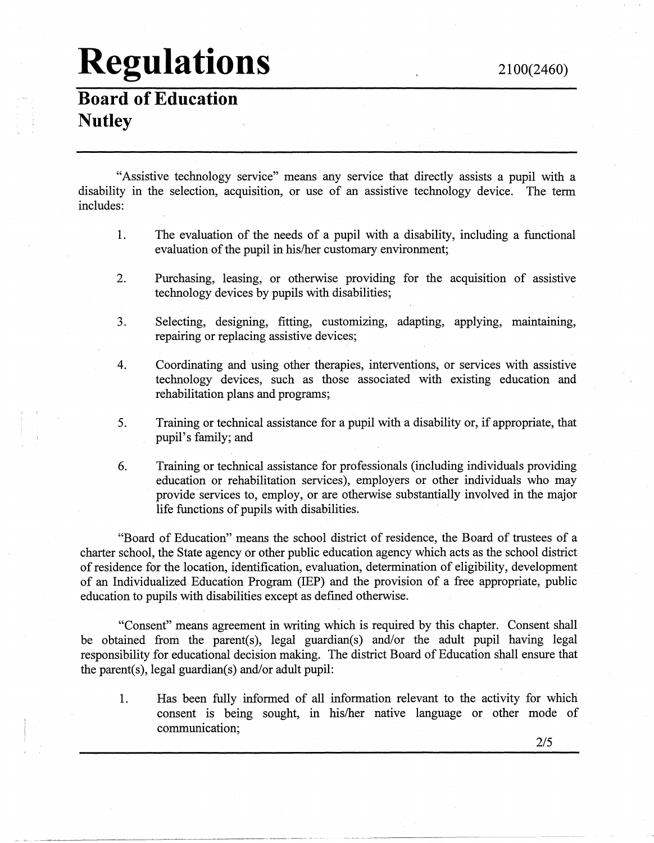**Board of Education Nutley** 

"Assistive technology service" means any service that directly assists a pupil with a disability in the selection, acquisition, or use of an assistive technology device. The term includes:

- 1. The evaluation of the needs of a pupil with a disability, including a functional evaluation of the pupil in his/her customary environment;
- 2. Purchasing, leasing, or otherwise providing for the acquisition of assistive technology devices by pupils with disabilities;
- 3. Selecting, designing, fitting, customizing, adapting, applying, maintaining, repairing or replacing assistive devices;
- 4. Coordinating and using other therapies, interventions, or services with assistive technology devices, such as those associated with existing education and rehabilitation plans and programs;
- 5. Training or technical assistance for a pupil with a disability or, if appropriate, that pupil's family; and
- 6. Training or technical assistance for professionals (including individuals providing education or rehabilitation services), employers or other individuals who may provide services to, employ, or are otherwise substantially involved in the major life functions of pupils with disabilities.

"Board of Education" means the school district of residence, the Board of trustees of a charter school, the State agency or other public education agency which acts as the school district of residence for the location, identification, evaluation, determination of eligibility, development of an Individualized Education Program (IEP) and the provision of a free appropriate, public education to pupils with disabilities except as defined otherwise.

"Consent" means agreement in writing which is required by this chapter. Consent shall be obtained from the parent(s), legal guardian(s) and/or the adult pupil having legal responsibility for educational decision making. The district Board of Education shall ensure that the parent(s), legal guardian(s) and/or adult pupil:

1. Has been fully informed of all information relevant to the activity for which consent is being sought, in his/her native language or other mode of communication;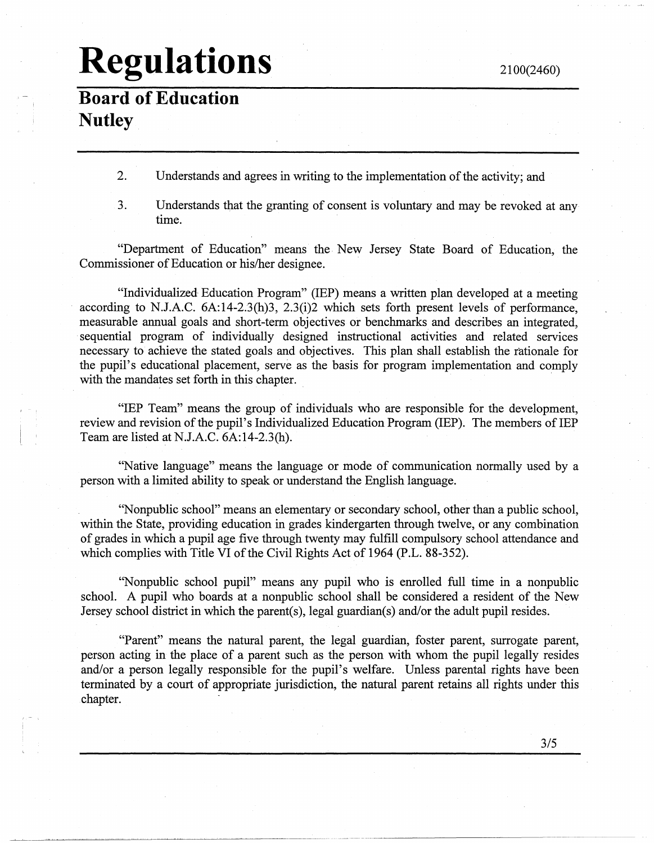**Board of Education Nutley** 

- 2. Understands and agrees in writing to the implementation of the activity; and
- 3. Understands that the granting of consent is voluntary and may be revoked at any time.

"Department of Education'' means the New Jersey State Board of Education, the Commissioner of Education or his/her designee.

"Individualized, Education Program" (IEP) means a written plan developed at a meeting according to N.J.A.C. 6A:14-2.3(h)3, 2.3(i)2 which sets forth present levels of performance, measurable annual goals and short-term objectives or benchmarks and describes an integrated, sequential program of individually designed instructional activities and related services necessary to achieve the stated goals and objectives. This plan shall establish the rationale for the pupil's educational placement, serve as the basis for program implementation and comply with the mandates set forth in this chapter.

"IEP Team" means the group of individuals who are responsible for the development, review and revision of the pupil's Individualized Education Program (IEP). The members of IEP Team are listed at N.J.A.C. 6A:14-2.3(h).

"Native language" means the language or mode of communication normally used by a person with a limited ability to speak or understand the English language.

''Nonpublic school" means an elementary or secondary school, other than a public school, within the State, providing education in grades kindergarten through twelve, or any combination of grades in which a pupil age five through twenty may fulfill compulsory school attendance and which complies with Title VI of the Civil Rights Act of 1964 (P.L. 88-352).

"Nonpublic school pupil" means any pupil who is enrolled full time in a nonpublic school. A pupil who boards at a nonpublic school shall be considered a resident of the New Jersey school district in which the parent(s), legal guardian(s) and/or the adult pupil resides.

"Parent" means the natural parent, the legal guardian, foster parent, surrogate parent, person acting in the place of a parent such as the person with whom the pupil legally resides and/or a person legally responsible for the pupil's welfare. Unless parental rights have been terminated by a court of appropriate jurisdiction, the natural parent retains all rights under this chapter.

--------~--------------------------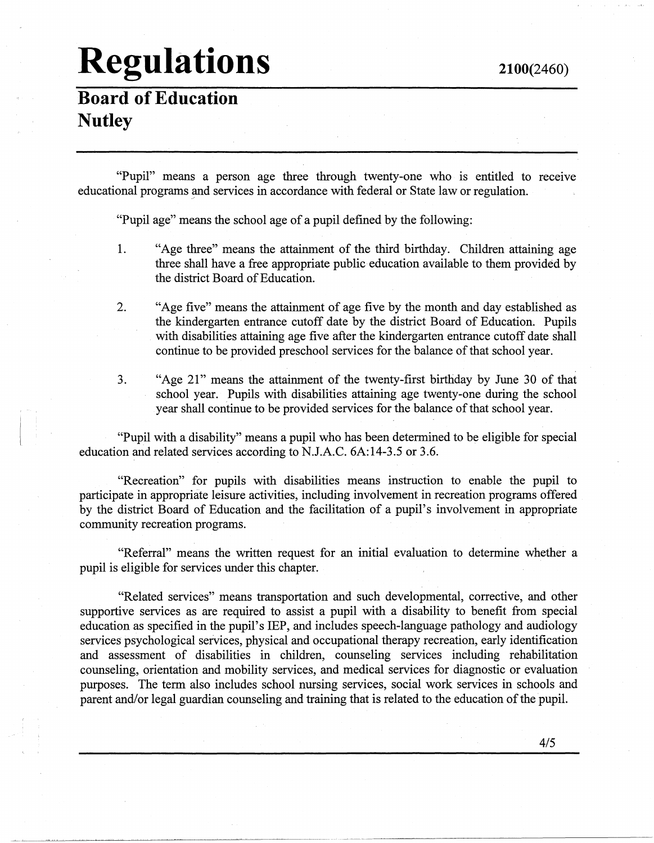**Board of Education Nutley** 

"Pupil" means a person age three through twenty-one who is entitled to receive educational programs and services in accordance with federal or State law or regulation.

"Pupil age" means the school age of a pupil defined by the following:

- 1. "Age three" means the attainment of the third birthday. Children attaining age three shall have a free appropriate public education available to them provided by the district Board of Education.
- 2. "Age five" means the attainment of age five by the month and day established as the kindergarten entrance cutoff date by the district Board of Education. Pupils . with disabilities attaining age five after the kindergarten entrance cutoff date shall continue to be provided preschool services for the balance of that school year.
- 3. "Age 21" means the attainment of the twenty-first birthday by June 30 of that school year. Pupils with disabilities attaining age twenty-one during the school year shall continue to be provided services for the balance of that school year.

"Pupil with a disability" means a pupil who has been determined to be eligible for special education and related services according to N.J.A.C. 6A:14-3.5 or 3.6.

"Recreation" for pupils with disabilities means instruction to enable the pupil to participate in appropriate leisure activities, including involvement in recreation programs offered by the district Board of Education and the facilitation of a pupil's involvement in appropriate community recreation programs.

"Referral" means the written request for an initial evaluation to determine whether a pupil is eligible for services under this chapter.

"Related services" means transportation and such developmental, corrective, and other supportive services as are required to assist a pupil with a disability to benefit from special education as specified in the pupil's IEP, and includes speech-language pathology and audiology services psychological services, physical and occupational therapy recreation, early identification and assessment of disabilities in children, counseling services including rehabilitation counseling, orientation and mobility services, and medical services for diagnostic or evaluation purposes. The term also includes school nursing services, social work services in schools and parent and/or legal guardian counseling and training that is related to the education of the pupil.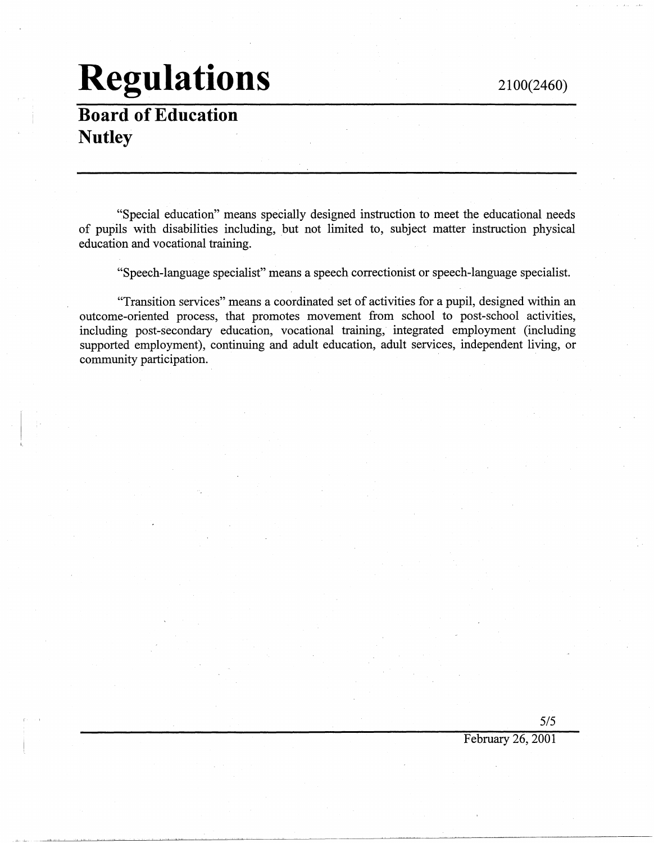### **Board of Education Nutley**

"Special education" means specially designed instruction to meet the educational needs of pupils with disabilities including, but not limited to, subject matter instruction physical education and vocational training.

"Speech-language specialist" means a speech correctionist or speech-language specialist.

"Transition services" means a coordinated set of activities for a pupil, designed within an outcome-oriented process, that promotes movement from school to post-school activities, including post-secondary education, vocational training, integrated employment (including supported employment), continuing and adult education, adult services, independent living, or community participation.

5/5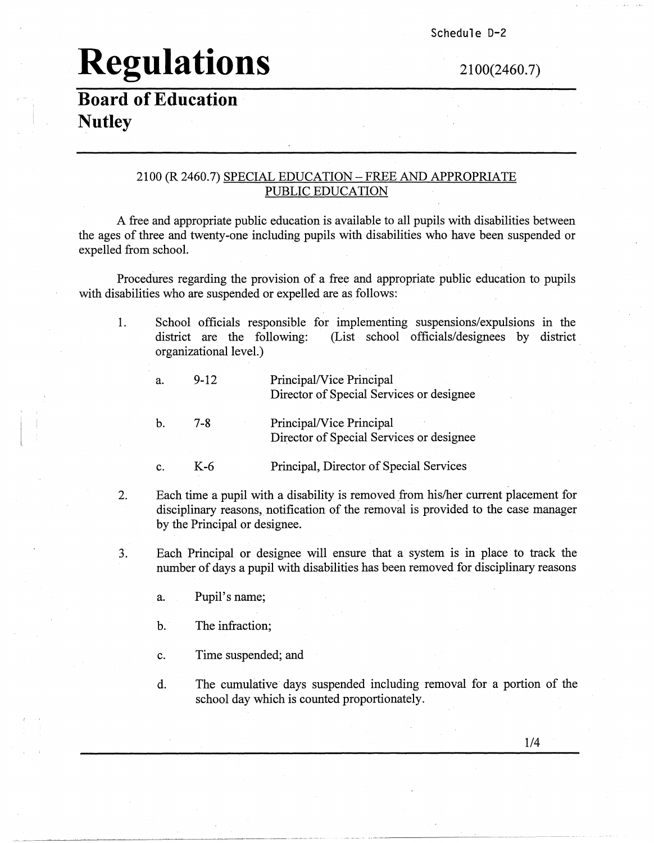Schedule D-2

# **Regulations** 2100(2460.7)

#### **Board of Education Nutley**

#### 2100 (R 2460.7) SPECIAL EDUCATION -FREE AND APPROPRIATE PUBLIC EDUCATION

A free and appropriate public education is available to all pupils with disabilities between the ages of three and twenty-one including pupils with disabilities who have been suspended or expelled from school.

Procedures regarding the provision of a free and appropriate public education to pupils with disabilities who are suspended or expelled are as follows:

1. School officials responsible for implementing suspensions/expulsions in the district are the following: (List school officials/designees by district (List school officials/designees by district organizational level.)

| a. | $9 - 12$ | Principal/Vice Principal<br>Director of Special Services or designee |
|----|----------|----------------------------------------------------------------------|
| h. | 7-R      | Principal/Vice Principal<br>Director of Special Services or designee |

- C. K-6 Principal, Director of Special Services
- 2. Each time a pupil with a disability is removed from his/her current placement for disciplinary reasons, notification of the removal is provided to the case manager by the Principal or designee.
- 3. Each Principal or designee will ensure that a system is in place to track the number of days a pupil with disabilities has been removed for disciplinary reasons
	- a. Pupil's name;
	- b. The infraction;
	- c. Time suspended; and
	- d. The cumulative days suspended including removal for a portion of the school day which is counted proportionately.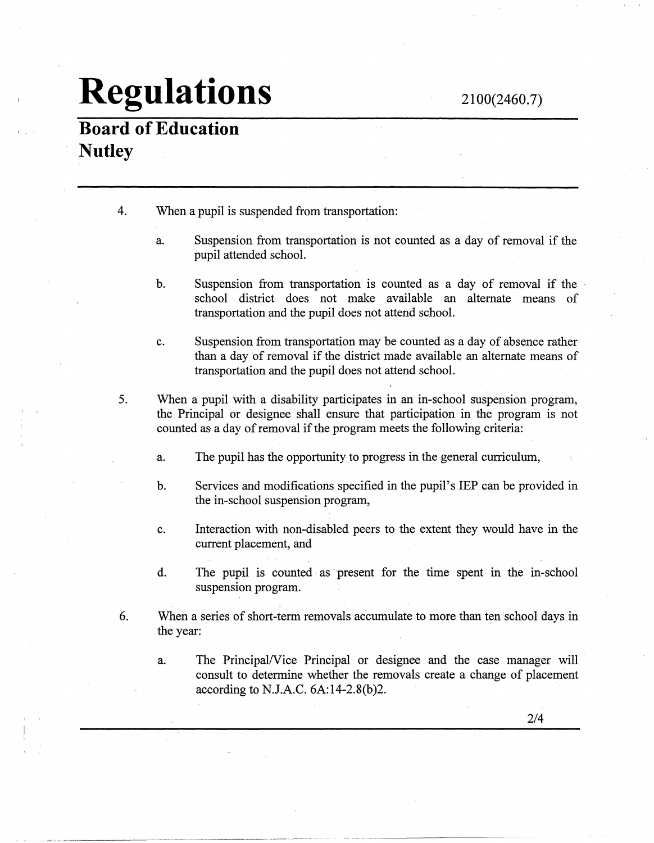### **Board of Education Nutley**

- 4. When a pupil is suspended from transportation:
	- a. Suspension from transportation is not counted as a day of removal if the pupil attended school.
	- b. Suspension from transportation is counted as a day of removal if the school district does not make available an alternate means of transportation and the pupil does not attend school.
	- c. Suspension from transportation may be counted as a day of absence rather than a day of removal if the district made available an alternate means of transportation and the pupil does not attend school.
- 5. When a pupil with a disability participates in an in-school suspension program, the Principal or designee shall ensure that participation in the program is not counted as a day of removal if the program meets the following criteria:
	- a. The pupil has the opportunity to progress in the general curriculum,
	- b. Services and modifications specified in the pupil's IEP can be provided in the in-school suspension program,
	- c. Interaction with non-disabled peers to the extent they would have in the current placement, and
	- d. The pupil is counted as present for the time spent in the in-school suspension program.
- 6. When a series of short-term removals accumulate to more than ten school days in the year:
	- a. The Principal/Vice Principal or designee and the case manager will consult to determine whether the removals create a change of placement according to N.J.A.C. 6A:14-2.8(b)2.

-·-·--·-·-------·-· -------~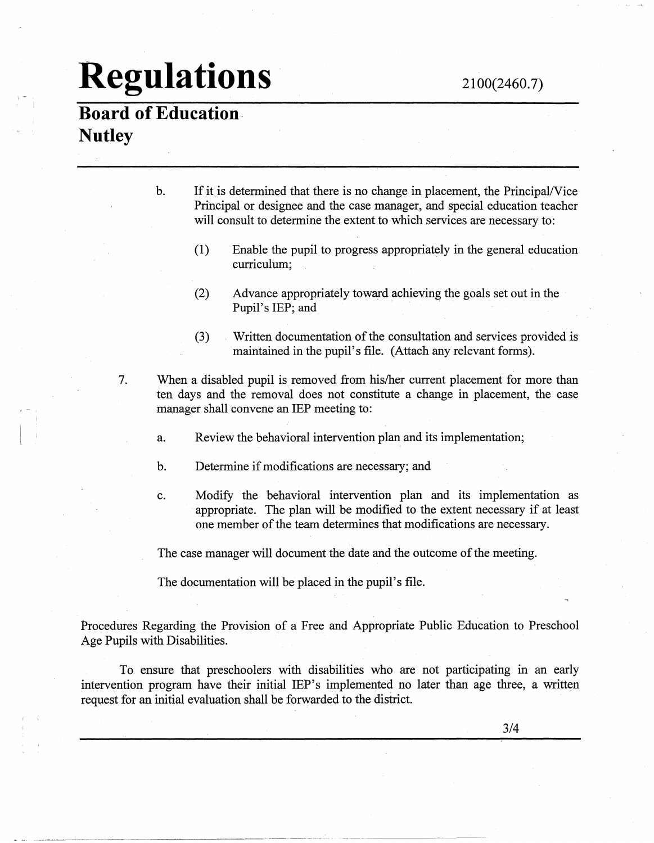#### 2100(2460.7)

## **Regulations**

### **Board of Education. Nutley**

1 - .

| b. | If it is determined that there is no change in placement, the Principal/Vice |
|----|------------------------------------------------------------------------------|
|    | Principal or designee and the case manager, and special education teacher    |
|    | will consult to determine the extent to which services are necessary to:     |

- (1) Enable the pupil to progress appropriately in the general education curriculum;
- (2) Advance appropriately toward achieving the goals set out in the Pupil's IEP; and
- (3) Written documentation of the consultation and services provided is maintained in the pupil's file. (Attach any relevant forms).
- 7. When a disabled pupil is removed from his/her current placement for more than ten days and the removal does not constitute a change in placement, the case manager shall convene an IEP meeting to:
	- a. Review the behavioral intervention plan and its implementation;
	- b. Determine if modifications are necessary; and
	- c. Modify the behavioral intervention plan and its implementation as appropriate. The plan will be modified to the extent necessary if at least one member of the team determines that modifications are necessary.

The case manager will document the date and the outcome of the meeting.

The documentation will be placed in the pupil's file.

Procedures Regarding the Provision of a Free and Appropriate Public Education to Preschool Age Pupils with Disabilities.

To ensure that preschoolers with disabilities who are not participating in an early intervention program have their initial IEP's implemented no later than age three, a written request for an initial evaluation shall be forwarded to the district.

--~------------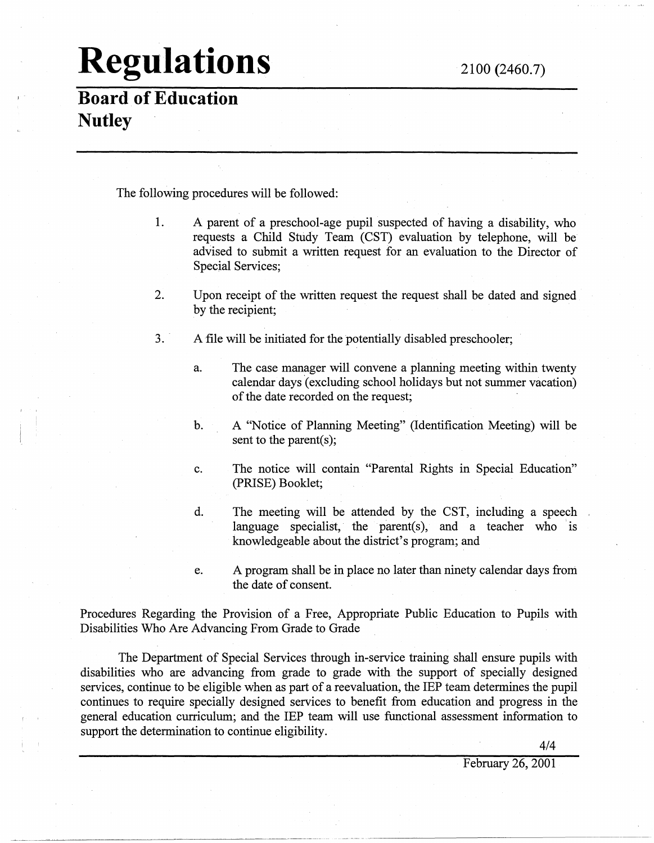**Board of Education Nutley** 

The following procedures will be followed:

- 1. A parent of a preschool-age pupil suspected of having a disability, who requests a Child Study Team (CST) evaluation by telephone, will be advised to submit a written request for an evaluation to the Director of Special Services;
- 2. Upon receipt of the written request the request shall be dated and signed by the recipient;
- 3. A file will be initiated for the potentially disabled preschooler;
	- a. The case manager will convene a planning meeting within twenty calendar days (excluding school holidays but not summer vacation) of the date recorded on the request;
	- b. A "Notice of Planning Meeting" (Identification Meeting) will be sent to the parent(s);
	- c. The notice will contain "Parental Rights in Special Education" (PRISE) Booklet;
	- d. The meeting will be attended by the CST, including a speech language specialist, the parent(s), and a teacher who 'is knowledgeable about the district's program; and
	- e. A program shall be in place no later than ninety calendar days froni the date of consent.

Procedures Regarding the Provision of a Free, Appropriate Public Education to Pupils with Disabilities Who Are Advancing From Grade to Grade

The Department of Special Services through in-service training shall ensure pupils with disabilities who are advancing from grade to grade with the support of specially designed services, continue to be eligible when as part of a reevaluation, the IEP team determines the pupil continues to require specially designed services to benefit from education and progress in the general education curriculum; and the IEP team will use functional assessment information to support the determination to continue eligibility.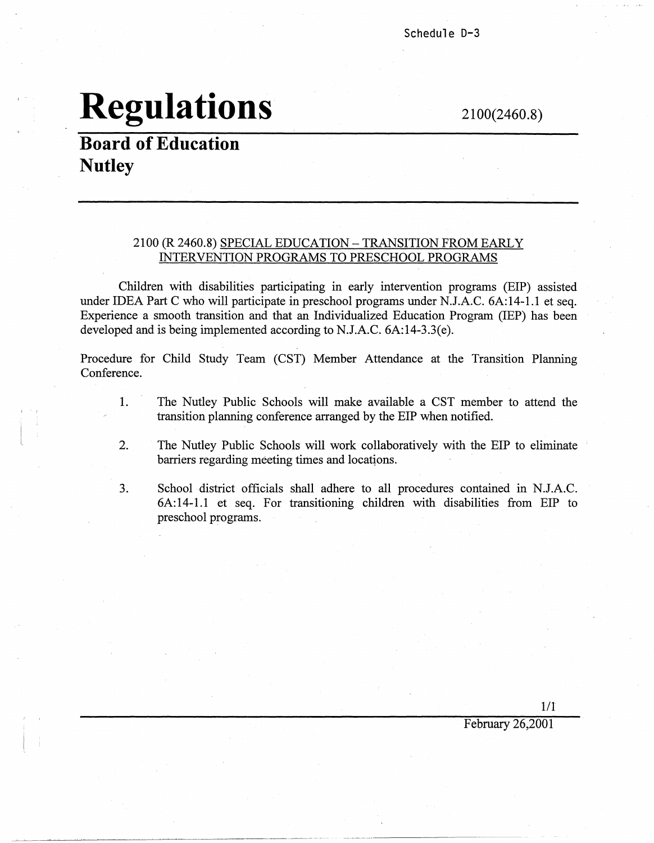2100(2460.8)

### **Board of Education Nutley**

#### 2100 (R 2460.8) SPECIAL EDUCATION -TRANSITION FROM EARLY INTERVENTION PROGRAMS TO PRESCHOOL PROGRAMS

Children with disabilities participating in early intervention programs (EIP) assisted under IDEA Part C who will participate in preschool programs under N.J.A.C. 6A:14-1.1 et seq. Experience a smooth transition and that an Individualized Education Program (IEP) has been developed and is being implemented according to N.J.A.C. 6A:14-3.3(e).

Procedure for Child Study Team (CST) Member Attendance at the Transition Planning Conference.

- 1. The Nutley Public Schools will make available a CST member to attend the transition planning conference arranged by the EIP when notified.
- 2. The Nutley Public Schools will work collaboratively with the EIP to eliminate barriers regarding meeting times and locations.
- 3. School district officials shall adhere to all procedures contained in N.J.A.C. 6A: 14-1.1 et seq. For transitioning children with disabilities from EIP to preschool programs.

1/1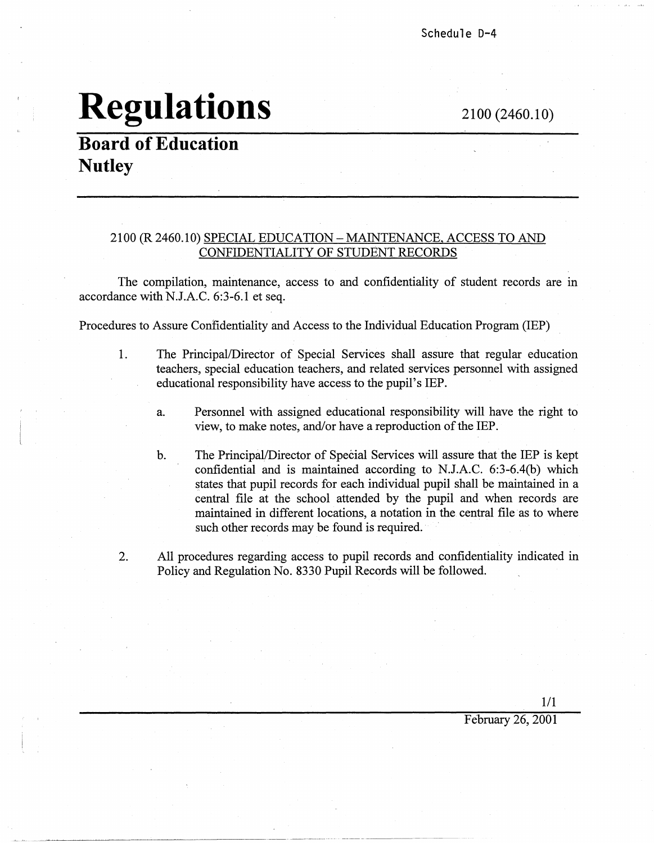2100 (2460.10)

### **Board of Education Nutley**

#### 2100 (R2460.10) SPECIAL EDUCATION-MAINTENANCE. ACCESS TO AND CONFIDENTIALITY OF STUDENT RECORDS

The compilation, maintenance, access to and confidentiality of student records are in accordance with N.J.A.C. 6:3-6.1 et seq.

Procedures to Assure Confidentiality and Access to the Individual Education Program (IEP)

- 1. The Principal/Director of Special Services shall assure that regular education teachers, special education teachers, and related services personnel with assigned educational responsibility have access to the pupil's IEP.
	- a. Personnel with assigned educational responsibility will have the right to view, to make notes, and/or have a reproduction of the IEP.
	- b. The Principal/Director of Special Services will assure that the IEP is kept confidential and is maintained according to N.J.A.C. 6:3-6.4(b) which states that pupil records for each individual pupil shall be maintained in a central file at the school attended by the pupil and when records are maintained in different locations, a notation in the central file as to where such other records may be found is required.
- 2. All procedures regarding access to pupil records and confidentiality indicated in Policy and Regulation No. 8330 Pupil Records will be followed.

·---·--- -----------

1/1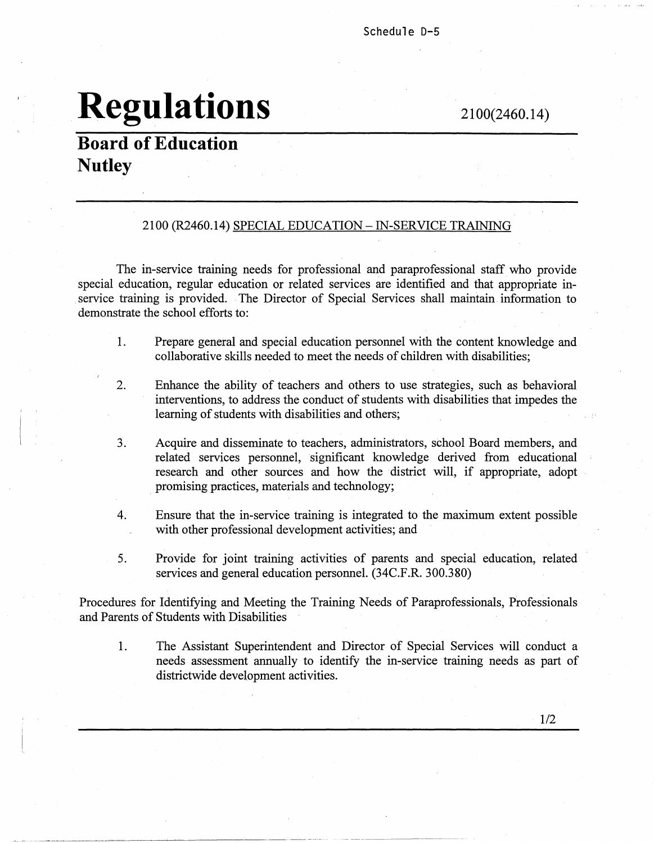#### Schedule D-5

## **Regulations**

2100(2460.14)

#### **Board of Education Nutley**

#### 2100 (R2460.I4) SPECIAL EDUCATION-IN-SERVICE TRAINING

The in-service training needs for professional and paraprofessional staff who provide special education, regular education or related services are identified and that appropriate in service training is provided. The Director of Special Services shall maintain information to demonstrate the school efforts to:

- 1. Prepare general and special education personnel with the content knowledge and collaborative skills needed to meet the needs of children with disabilities;
- 2. Enhance the ability of teachers and others to use strategies, such as behavioral interventions, to address the conduct of students with disabilities that impedes the learning of students with disabilities and others;
- 3. Acquire and disseminate to teachers, administrators, school Board members, and related services personnel, significant knowledge derived from educational research and other sources and how the district will, if appropriate, adopt promising practices, materials and technology;
- 4. Ensure that the in-service training is integrated to the maximum extent possible with other professional development activities; and
- 5. Provide for joint training activities of parents and special education, related services and general education personnel. (34C.F.R. 300.380)

Procedures for Identifying and Meeting the Training Needs of Paraprofessionals, Professionals and Parents of Students with Disabilities

1. The Assistant Superintendent and Director of Special Services will conduct a needs assessment annually to identify the in-service training needs as part of districtwide development activities.